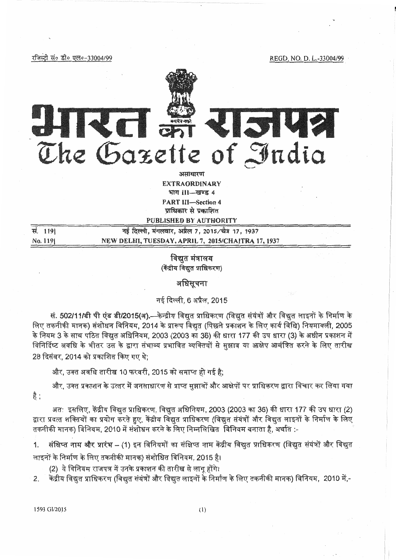रजिस्टी सं० डी० एल०-33004/99

REGD. NO. D. L.-33004/99



amentur EXTRAORDINARY भाग ।।।-खण्ड ४ PART III-Section 4 **प्राधिकार से प्रकाशित** 

PUBLISHED BY AUTHORITY

नई दिल्ली, मंगलवार, अप्रैल 7, 2015/चैत्र 17, 1937 ti. **<sup>1191</sup>** No. 1191 NEW DELHI, TUESDAY, APRIL 7, 2015/CHAITRA 17, 1937

> विद्यत मंत्रालय (केंद्रीय विद्युत प्राधिकरण)

# अधिसूचना

# नई दिल्ली. 6 अप्रैल, 2015

नई दिल्ली, 6 अप्रैल, 2015<br>सं. 502/11/डी पी एंड डी/2015(अ).—केन्द्रीय विद्युत प्राधिकरण (विद्युत संयंत्रों और विद्युत लाइनों के निर्माण के<br>लिए तकनीकी मानक) संशोधन विनियम, 2014 के प्रारूप विद्युत (पिछले प्रकाशन के लिए कार्य सं. <mark>502/11/डी पी एंड डी/2015(अ).—</mark>केन्द्रीय विद्युत प्राधिकरण (विद्युत संयंत्रों और विद्युत लाइनों के निर्माण के<br>लिए तकनीकी मानक) संशोधन विनियम, 2014 के प्रारूप विद्युत (पिछले प्रकाशन के लिए कार्य विधि) नियमावली, 2005<br>के के नियम 3 के साथ पठित विद्युत अधिनियम, 2003 (2003 का 36) की धारा 177 की उप धारा (3) के अधीन प्रकाशन में<br>विनिर्दिष्ट अवधि के भीतर उस के द्वारा संभाव्य प्रभावित व्यक्तियों से सुझाव या आक्षेप आमंत्रित करने के लिए तारीख 28 दिसंबर, 2014 को प्रकाशित किए गए थे:

और, उक्त अवधि तारीख 10 फरवरी, 2015 को समाप्त हो गई है:

और, उक्त प्रकाशन के उत्तर में जनसाधारण से प्राप्त सुझावों और आक्षेपों पर प्राधिकरण द्वारा विचार कर लिया गया है :

अत: इसलिए, केंद्रीय विद्युत प्राधिकरण, विद्युत अधिनियम, 2003 (2003 का 36) की धारा 177 की उप धारा (2) द्वारा प्रदत्त शक्तियों का प्रयोग करते हुए, केंद्रीय विद्युत प्राधिकरण (विद्युत संयंत्रों और विद्युत लाइनों के निर्माण के लिए तकनीकी मानक) विनियम, 2010 में संशोधन करने के लिए निम्नलिखित विनियम बनाता है, अर्थात :-

संक्षिप्त नाम और प्रारंभ – (1) इन विनियमों का संक्षिप्त नाम केंद्रीय विद्युत प्राधिकरण (विद्युत संयंत्रों और विद्युत लाइनों के निर्माण के लिए तकनीकी मानक) संशोधित विनियम, 2015 है।

(2) ये विनियम राजपत्र में उनके प्रकाशन की तारीख से लागू होंगे।

2. केंद्रीय विद्युत प्राधिकरण (विद्युत संयंत्रों और विद्युत लाइनों के निर्माण के लिए तकनीकी मानक) विनियम, 2010 में,-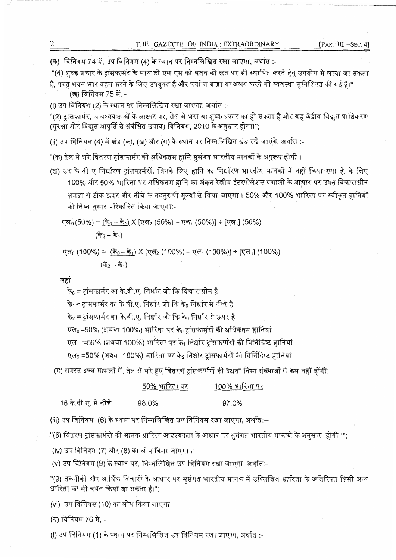(क) विनियम 74 में, उप विनियम (4) के स्थान पर निम्नलिखित रखा जाएगा, अर्थात :-

"(4) शुष्क प्रकार के ट्रांसफार्मर के साथ डी एस एस को भवन की छत पर भी स्थापित करने हेतु उपयोग में लाया जा सकता

है, परंतु भवन भार वहन करने के लिए उपयुक्त है और पर्याप्त बाड़ा या अलग करने की व्यवस्था सुनिश्चित की गई है।" (ख) विनियम 75 में, -

(i) उप विनियम (2) के स्थान पर निम्नलिखित रखा जाएगा, अर्थात :-

"(2) ट्रांसफार्मर, आवश्यकताओं के आधार पर, तेल से भरा या शुष्क प्रकार का हो सकता है और यह केंद्रीय विद्युत प्राधिकरण (सुरक्षा ओर विद्युत आपूर्ति से संबंधित उपाय) विनियम, 2010 के अनुसार होगा।"**;** 

(ii) उप विनियम (4) में खंड (क), (ख) और (ग) के स्थान पर निम्नलिखित खंड रखे जाएंगे, अर्थात :-

"(क) तेल से भरे वितरण टांसफार्मर की अधिकतम हानि ससंगत भारतीय मानकों के अनुरूप होगी ।

(ख) उन के वी ए निर्धारण ट्रांसफार्मरों, जिनके लिए हानि का निर्धारण भारतीय मानकों में नहीं किया गया है, के लिए 100% और 50% भारिता पर अधिकतम हानि का अंकन रेखीय इंटरपोलेशन प्रणाली के आधार पर उक्त विचाराधीन क्षमता से ठीक ऊपर और नीचे के तदनुरूपी मूल्यों से किया जाएगा । 50% और 100% भारिता पर स्वीकृत हानियों \_\_<br>को निम्नानुसार परिकलित किया जाएगा:-

~o ,~ • <sup>~</sup>\. *'l&.I* r- = l ctio - cti 11 *J\* l l!, '12 - ~1 (50%)] + [~1] (50%)

(के<sub>2</sub> – के<sub>1</sub>)

एल $_0$  (100%) =  $(\frac{\lambda_0}{2} - \frac{\lambda_1}{2})$  X [एल $_2$  (100%) – एल $_1$  (100%)] + [एल $_1$ ] (100%)

*(*के<sub>2</sub> – के<sub>1</sub>)

जहां

16

के $_{0}$  = ट्रांसफार्मर का के.वी.ए. निर्धार जो कि विचाराधीन है

के<sub>1</sub> = टांसफार्मर का के.वी.ए. निर्धार जो कि के<sub>0</sub> निर्धार से नीचे है

के $_{2}$  = टांसफार्मर का के.वी.ए. निर्धार जो कि के $_{0}$  निर्धार से ऊपर है

एल<sub>0</sub> =50% (अथवा 100%) भारिता पर के<sub>0</sub> ट्रांसफार्मुरों की अधिकतम हानियां

एल $_{1}$  =50% (अथवा 100%) भारिता पर के $_{1}$  निर्धार ट्रांसफार्मरों की विर्निदिष्ट हानियां

एल $_{2}$  =50% (अथवा 100%) भारिता पर के $_{2}$  निर्धार ट्रांसफार्मरों की विर्निदिष्ट हानियां

(ग) समस्त अन्य मामलों में, तेल से भरे हुए वितरण ट्रांसफार्मरों की दक्षता निम्न संख्याओं से कम नहीं होंगी:

|                  | 50% भारिता पर | 100% भारिता पर |
|------------------|---------------|----------------|
| के.वी.ए. से नीचे | 98.0%         | 97.0%          |

(iii) उप विनियम (6) के स्थान पर निम्नलिखित उप विनियम रखा जाएगा, अर्थात:--<br>"(6) वितरण ट्रांसफार्मरों की मानक धारिता आवश्यकता के आधार पर सुसंगत भारतीय मानकों के अनुसार होगी ।";

(iv) उप विनियम (7) और (8) का लोप किया जाएगा।;

(v) उप विनियम (9) के स्थान पर, निम्नलिखित उप-विनियम रखा जाएगा, अर्थात:-

"(9) तकनीकी और आर्थिक विचारों के आधार पर सुसंगत भारतीय मानक में उल्लिखित धारिता के अतिरिक्त किसी अन्य **11\_nf:r:::rr** ~ **<di-** ~ ~ **:-:r-r n-::r-:::n-** ~I''· **vlll'-..\11 ·111** .,, **'1'1'1 17•"'11** '-'ii **'17,'\!i** ~• ,

(vi) उप विनियम (10) का लोप किया जाएगा;

(ग) विनियम 76 में, -

(i) उप विनियम (1) के स्थान पर निम्नलिखित उप विनियम रखा जाएगा, अर्थात :-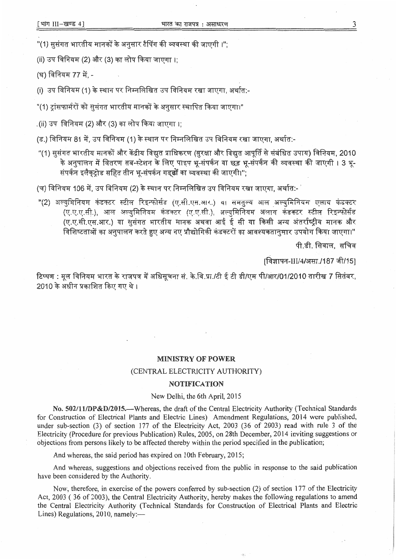"(1) सुसंगत भारतीय मानकों के अनुसार टैपिंग की व्यवस्था की जाएगी ।";

(ii) उप विनियम (2) और (3) का लोप किया जाएगा।:

(~) f4 Pf:q'-f **77** *if,* -

 $(i)$  उप विनियम (1) के स्थान पर निम्नलिखित उप विनियम रखा जाएगा, अर्थात:-

"(1) ट्रांसफार्मरों को ससंगत भारतीय मानकों के अनुसार स्थापित किया जाएगा।"

.(ii) उप विनियम (2) और (3) का लोप किया जाएगा ।:

(ड.) विनियम 81 में, उप विनियम (1) के स्थान पर निम्नलिखित उप विनियम रखा जाएगा, अर्थात:-

ड.) विानयम ठा म, उप ावानयम (1) क स्थान पर ानम्नालाखत उप ावानयम रखा जाएगा, अयात.-<br>"(1) सुसंगत भारतीय मानकों और केंद्रीय विद्युत प्राधिकरण (सुरक्षा और विद्युत आपूर्ति से संबंधित उपाय) विनियम, 2010 iगत भारतीय मानकों और केंद्रीय विद्युत प्राधिकरण (सुरक्षा और विद्युत आपूर्ति से संबंधित उपाय) विनियम, 2010<br>के अनुपालन में वितरण सब-स्टेशन के लिए पाइप भू-संपर्कन या छड़ भू-संपर्कन की व्यवस्था की जाएगी । 3 भू-क अनुपालन म ावतरण सब-स्टशन के ालए पाइप भू-सपकन या छड़ भ<mark>ू</mark><br>संपर्कन इलैक्**ट्रोड सहित तीन भू-संपर्कन गड्ढों** का व्यवस्था की जाएगी।'';

(च) विनियम 106 में, उप विनियम (2) के स्थान पर निम्नलिखित उप विनियम रखा जाएगा. अर्थात:-

**"(2) अल्युमिनियम कंडक्टर स्टील रिइन्फोर्सड (ए.सी.एस.आर.) या समतुल्य आल अल्युमिनियम एलाय कंड<mark>क्टर</mark>** युमिनियम कंडक्टर स्टील रिइन्फोर्सड (ए.सी.एस.आर.) या समतुल्य आल अल्युमिनियम एलाय कंडक्टर<br>(ए.ए.ए.सी.), आल अल्युमिनियम कंडक्टर (ए.ए.सी.), अल्युमिनियम अलाय कंडक्टर स्टील रिइन्फोर्सड (ए.ए.ए.सी.), आल अल्युमिनियम कंडक्टर (ए.ए.सी.), अल्युमिनियम अलाय कंडक्टर स्टील रिइन्फोर्सड<br>(ए.ए.सी.एस.आर.) या सुसंगत भारतीय मानक अथवा आई ई सी या किसी अन्य अंतर्राष्ट्रीय मानक और (ए.ए.सी.एस.आर.) या सुसंगत भारतीय मानक अथवा आई ई सी <mark>या किसी अन्य अंतर्राष्ट्रीय मानक और</mark><br>विशिष्टताओं का अनुपालन करते हुए अन्य नए प्रौद्योगिकी कंडक्टरों का आवश्यकतानसार उपयोग किया जाएगा।"

पी.डी. सिवाल. सचिव

[विज्ञापन-III/4/असा./187 जी/15]

[विज्ञापन-III/4/असा./187 जी/15]<br>टिप्पण : मूल विनियम भारत के राजपत्र में अधिसूचना सं. के.वि.प्रा./टी ई टी डी/एम पी/आर/01/2010 तारीख 7 सितंबर, <mark>टिप्पण : मूल विनियम भारत के राजपत्र</mark><br>2010 के अधीन प्रकाशित किए गए थे ।

#### **MINISTRY OF POWER**

#### (CENTRAL ELECTRICITY AUTHORITY)

### **NOTIFICATION**

### New Delhi, the 6th April, 2015

No. 502/11/DP&D/2015.-Whereas, **the** draft of the Central Electricity Authority (Technical Standards for Construction of Electrical Plants and Electric Lines) Amendment Regulations, 2014 were published, under sub-section (3) of section 177 of the Electricity Act, 2003 (36 of 2003) read with rule 3 of the Electricity (Procedure for previous Publication) Rules, 2005, on 28th December, 2014 inviting suggestions or objections from persons likely to be affected thereby within the period specified in the publication;

And whereas, the said period has expired on 10th February, 2015;

And whereas, suggestions and objections received from the public in response to the said publication have been considered by the Authority.

Now, therefore, in exercise of **the** powers conferred by sub-section (2) of section 177 of the Electricity Act, 2003 ( 36 of 2003), the Central Electricity Authority, hereby makes the following regulations to amend the Central Electricity Authority (Technical Standards for Construction of Electrical Plants and Electric Lines) Regulations, 2010, namely:-

3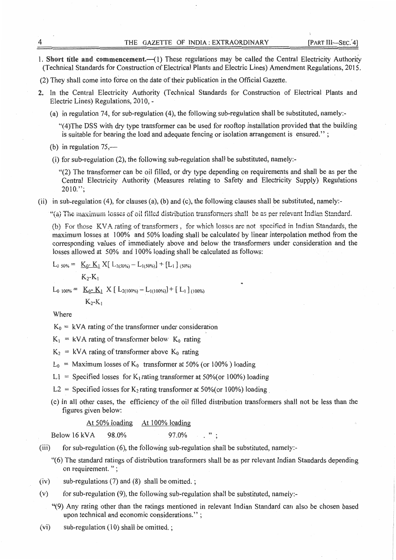1. Short title and commencement.--(1) These regulations may be called the Central Electricity Authority (Technical Standards for Construction of Electrical **Plants** and Electric **Lines)** Amendment Regulations, 2015.

(2) They shall come into force on the date of their publication in the Official Gazette.

- 2. in the Central Electricity Authority (Technical Standards for Construction of Electrical Plants and Electric Lines) Regulations, 2010, -
	- (a) **in regulation** 74, for sub-regulation ( 4), the following sub-regulation shall be substituted, namely:-

"( 4)The DSS with dry type transfonner can be used **for** rooftop installation provided that the building is suitable for bearing the load and adequate fencing or isolation arrangement is ensured." ;

(b) in regulation  $75,$ —

(i) for sub-regulation (2), the following sub-regulation shall **be** substituted, namely:-

''(2) The transfonner can be **oil** filled, or dry type depending on requirements and shall be as per the Central Electricity Authority (Measures relating to Safety **and** Electricity Supply) Regulations  $2010."$ ;

**(ii)** in sub-regulation (4), for clauses (a), (b) and (c), the following clauses shall be substituted, namely:-

"(a) The maximum losses of oil filled distribution transformers shall be as per relevant Indian Standard.

(b) For those KVA rating of transformers, for which losses are not specified in Indian Standards, the maximum losses at 100% and 50% loading shall be calculated by linear interpolation method from the corresponding values of immediately above **and** below the transfonners under consideration **and** the losses allowed at 50% and 100% loading shall be calculated as follows:

$$
L_{0.50\%} = \underline{K_{0}^{*} K_{1}} X [\ L_{2(50\%)} - L_{1(50\%)}] + [L_{1}]_{(50\%)}
$$

$$
K_{2}K_{1}
$$

 $L_{0.100\%} = K_{0} - K_{1} \times [L_{2(100\%)} - L_{1(100\%)}] + [L_{1}]_{(100\%)}$  $K_{2}$ - $K_{1}$ 

Where

 $K_0 = kVA$  rating of the transformer under consideration

- $K_1$  = kVA rating of transformer below  $K_0$  rating
- $K_2$  = kVA rating of transformer above  $K_0$  rating
- $L_0$  = Maximum losses of  $K_0$  transformer at 50% (or 100%) loading
- L1 = Specified losses for K<sub>1</sub> rating transformer at 50% (or 100%) loading
- L2 = Specified losses for  $K_2$  rating transformer at 50% (or 100%) loading.
- ( c) In all other cases, **the** efficiency of the oil filled distribution transfonners shall not be less than the figures given below:

## At 50% loading At 100% loading

Below 16 kVA  $98.0\%$  97.0% , "; '

- (iii) for sub-regulation  $(6)$ , the following sub-regulation shall be substituted, namely:-
	- "( 6) The standard ratings of distribution transformers shall be as per relevant **Indian** Standards depending on requirement. " ;
- (iv) sub-regulations (7) and (8) shall **be** omitted. ;
- (v) for sub-regulation (9), the following sub-regulation shall be substituted, namely:-
	- "(9) Any rating other than the ratings mentioned in relevant Indian Standard can also be chosen based upon technical and economic considerations.'' ;
- $(vi)$  sub-regulation  $(10)$  shall be omitted.;